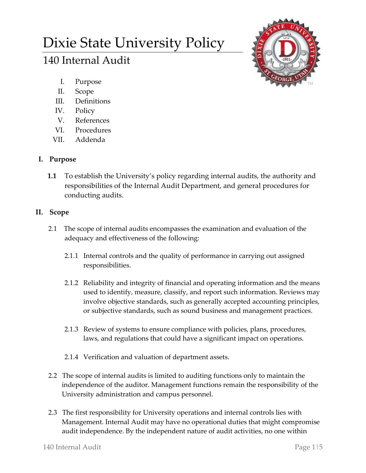# Dixie State University Policy

# 140 Internal Audit



- I. Purpose
- II. Scope
- III. Definitions
- IV. Policy
- V. References
- VI. Procedures
- VII. Addenda

## **I. Purpose**

**1.1** To establish the University's policy regarding internal audits, the authority and responsibilities of the Internal Audit Department, and general procedures for conducting audits.

### **II. Scope**

- 2.1 The scope of internal audits encompasses the examination and evaluation of the adequacy and effectiveness of the following:
	- 2.1.1 Internal controls and the quality of performance in carrying out assigned responsibilities.
	- 2.1.2 Reliability and integrity of financial and operating information and the means used to identify, measure, classify, and report such information. Reviews may involve objective standards, such as generally accepted accounting principles, or subjective standards, such as sound business and management practices.
	- 2.1.3 Review of systems to ensure compliance with policies, plans, procedures, laws, and regulations that could have a significant impact on operations.
	- 2.1.4 Verification and valuation of department assets.
- 2.2 The scope of internal audits is limited to auditing functions only to maintain the independence of the auditor. Management functions remain the responsibility of the University administration and campus personnel.
- 2.3 The first responsibility for University operations and internal controls lies with Management. Internal Audit may have no operational duties that might compromise audit independence. By the independent nature of audit activities, no one within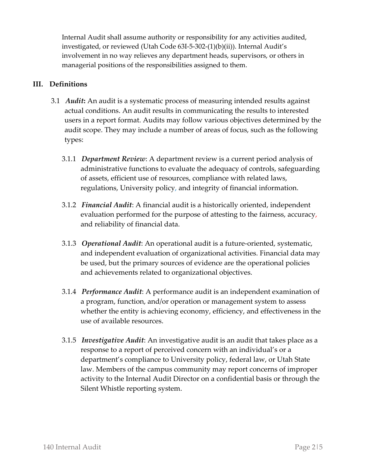Internal Audit shall assume authority or responsibility for any activities audited, investigated, or reviewed (Utah Code 63I-5-302-(1)(b)(ii)). Internal Audit's involvement in no way relieves any department heads, supervisors, or others in managerial positions of the responsibilities assigned to them.

#### **III. Definitions**

- 3.1 *Audit***:** An audit is a systematic process of measuring intended results against actual conditions. An audit results in communicating the results to interested users in a report format. Audits may follow various objectives determined by the audit scope. They may include a number of areas of focus, such as the following types:
	- 3.1.1 *Department Review*: A department review is a current period analysis of administrative functions to evaluate the adequacy of controls, safeguarding of assets, efficient use of resources, compliance with related laws, regulations, University policy, and integrity of financial information.
	- 3.1.2 *Financial Audit*: A financial audit is a historically oriented, independent evaluation performed for the purpose of attesting to the fairness, accuracy, and reliability of financial data.
	- 3.1.3 *Operational Audit*: An operational audit is a future-oriented, systematic, and independent evaluation of organizational activities. Financial data may be used, but the primary sources of evidence are the operational policies and achievements related to organizational objectives.
	- 3.1.4 *Performance Audit*: A performance audit is an independent examination of a program, function, and/or operation or management system to assess whether the entity is achieving economy, efficiency, and effectiveness in the use of available resources.
	- 3.1.5 *Investigative Audit*: An investigative audit is an audit that takes place as a response to a report of perceived concern with an individual's or a department's compliance to University policy, federal law, or Utah State law. Members of the campus community may report concerns of improper activity to the Internal Audit Director on a confidential basis or through the Silent Whistle reporting system.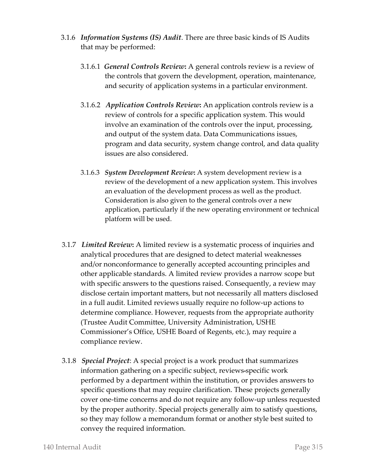- 3.1.6 *Information Systems (IS) Audit*. There are three basic kinds of IS Audits that may be performed:
	- 3.1.6.1 *General Controls Review***:** A general controls review is a review of the controls that govern the development, operation, maintenance, and security of application systems in a particular environment.
	- 3.1.6.2 *Application Controls Review***:** An application controls review is a review of controls for a specific application system. This would involve an examination of the controls over the input, processing, and output of the system data. Data Communications issues, program and data security, system change control, and data quality issues are also considered.
	- 3.1.6.3 *System Development Review***:** A system development review is a review of the development of a new application system. This involves an evaluation of the development process as well as the product. Consideration is also given to the general controls over a new application, particularly if the new operating environment or technical platform will be used.
- 3.1.7 *Limited Review***:** A limited review is a systematic process of inquiries and analytical procedures that are designed to detect material weaknesses and/or nonconformance to generally accepted accounting principles and other applicable standards. A limited review provides a narrow scope but with specific answers to the questions raised. Consequently, a review may disclose certain important matters, but not necessarily all matters disclosed in a full audit. Limited reviews usually require no follow-up actions to determine compliance. However, requests from the appropriate authority (Trustee Audit Committee, University Administration, USHE Commissioner's Office, USHE Board of Regents, etc.), may require a compliance review.
- 3.1.8 *Special Project*: A special project is a work product that summarizes information gathering on a specific subject, reviews specific work performed by a department within the institution, or provides answers to specific questions that may require clarification. These projects generally cover one-time concerns and do not require any follow-up unless requested by the proper authority. Special projects generally aim to satisfy questions, so they may follow a memorandum format or another style best suited to convey the required information.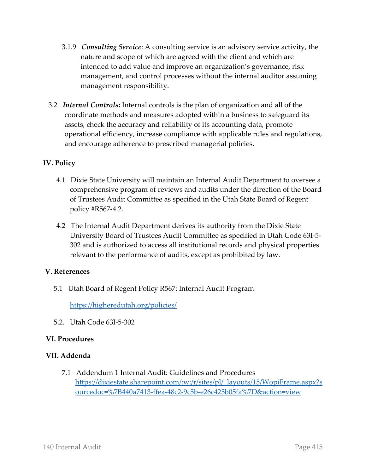- 3.1.9 *Consulting Service*: A consulting service is an advisory service activity, the nature and scope of which are agreed with the client and which are intended to add value and improve an organization's governance, risk management, and control processes without the internal auditor assuming management responsibility.
- 3.2 *Internal Controls***:** Internal controls is the plan of organization and all of the coordinate methods and measures adopted within a business to safeguard its assets, check the accuracy and reliability of its accounting data, promote operational efficiency, increase compliance with applicable rules and regulations, and encourage adherence to prescribed managerial policies.

#### **IV. Policy**

- 4.1 Dixie State University will maintain an Internal Audit Department to oversee a comprehensive program of reviews and audits under the direction of the Board of Trustees Audit Committee as specified in the Utah State Board of Regent policy #R567-4.2.
- 4.2 The Internal Audit Department derives its authority from the Dixie State University Board of Trustees Audit Committee as specified in Utah Code 63I-5- 302 and is authorized to access all institutional records and physical properties relevant to the performance of audits, except as prohibited by law.

#### **V. References**

5.1 Utah Board of Regent Policy R567: Internal Audit Program

<https://higheredutah.org/policies/>

5.2. Utah Code 63I-5-302

#### **VI. Procedures**

#### **VII. Addenda**

7.1 Addendum 1 Internal Audit: Guidelines and Procedures [https://dixiestate.sharepoint.com/:w:/r/sites/pl/\\_layouts/15/WopiFrame.aspx?s](https://dixiestate.sharepoint.com/:w:/r/sites/pl/_layouts/15/WopiFrame.aspx?sourcedoc=%7B440a7413-ffea-48c2-9c5b-e26c425b05fa%7D&action=view) [ourcedoc=%7B440a7413-ffea-48c2-9c5b-e26c425b05fa%7D&action=view](https://dixiestate.sharepoint.com/:w:/r/sites/pl/_layouts/15/WopiFrame.aspx?sourcedoc=%7B440a7413-ffea-48c2-9c5b-e26c425b05fa%7D&action=view)